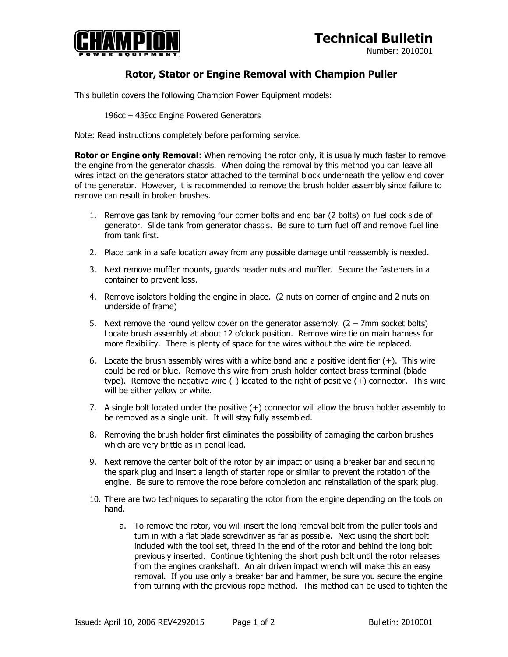## **Technical Bulletin**



Number: 2010001

## **Rotor, Stator or Engine Removal with Champion Puller**

This bulletin covers the following Champion Power Equipment models:

196cc – 439cc Engine Powered Generators

Note: Read instructions completely before performing service.

**Rotor or Engine only Removal:** When removing the rotor only, it is usually much faster to remove the engine from the generator chassis. When doing the removal by this method you can leave all wires intact on the generators stator attached to the terminal block underneath the yellow end cover of the generator. However, it is recommended to remove the brush holder assembly since failure to remove can result in broken brushes.

- 1. Remove gas tank by removing four corner bolts and end bar (2 bolts) on fuel cock side of generator. Slide tank from generator chassis. Be sure to turn fuel off and remove fuel line from tank first.
- 2. Place tank in a safe location away from any possible damage until reassembly is needed.
- 3. Next remove muffler mounts, guards header nuts and muffler. Secure the fasteners in a container to prevent loss.
- 4. Remove isolators holding the engine in place. (2 nuts on corner of engine and 2 nuts on underside of frame)
- 5. Next remove the round yellow cover on the generator assembly.  $(2 7)$ mm socket bolts) Locate brush assembly at about 12 o'clock position. Remove wire tie on main harness for more flexibility. There is plenty of space for the wires without the wire tie replaced.
- 6. Locate the brush assembly wires with a white band and a positive identifier  $(+)$ . This wire could be red or blue. Remove this wire from brush holder contact brass terminal (blade type). Remove the negative wire  $(-)$  located to the right of positive  $(+)$  connector. This wire will be either yellow or white.
- 7. A single bolt located under the positive (+) connector will allow the brush holder assembly to be removed as a single unit. It will stay fully assembled.
- 8. Removing the brush holder first eliminates the possibility of damaging the carbon brushes which are very brittle as in pencil lead.
- 9. Next remove the center bolt of the rotor by air impact or using a breaker bar and securing the spark plug and insert a length of starter rope or similar to prevent the rotation of the engine. Be sure to remove the rope before completion and reinstallation of the spark plug.
- 10. There are two techniques to separating the rotor from the engine depending on the tools on hand.
	- a. To remove the rotor, you will insert the long removal bolt from the puller tools and turn in with a flat blade screwdriver as far as possible. Next using the short bolt included with the tool set, thread in the end of the rotor and behind the long bolt previously inserted. Continue tightening the short push bolt until the rotor releases from the engines crankshaft. An air driven impact wrench will make this an easy removal. If you use only a breaker bar and hammer, be sure you secure the engine from turning with the previous rope method. This method can be used to tighten the